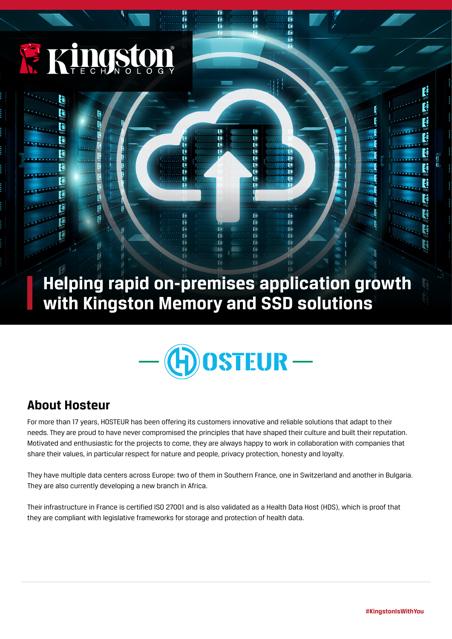

Ħ

Г

F

H

ť

FË

Ë

F

**Helping rapid on-premises application growth with Kingston Memory and SSD solutions**

E

Fi

E

Fi

Fï

FF

F

E

ŗ.

E

E

F)

Fij

Fi

Fil

E

E. Ē

ī.

R.

Ē

Œ

Ē

Ā

E

E

F

ŗ.



## **About Hosteur**

For more than 17 years, HOSTEUR has been offering its customers innovative and reliable solutions that adapt to their needs. They are proud to have never compromised the principles that have shaped their culture and built their reputation. Motivated and enthusiastic for the projects to come, they are always happy to work in collaboration with companies that share their values, in particular respect for nature and people, privacy protection, honesty and loyalty.

They have multiple data centers across Europe: two of them in Southern France, one in Switzerland and another in Bulgaria. They are also currently developing a new branch in Africa.

Their infrastructure in France is certified ISO 27001 and is also validated as a Health Data Host (HDS), which is proof that they are compliant with legislative frameworks for storage and protection of health data.

í. ₹

t

E.

H

E.

E,

i,

H

ŧ